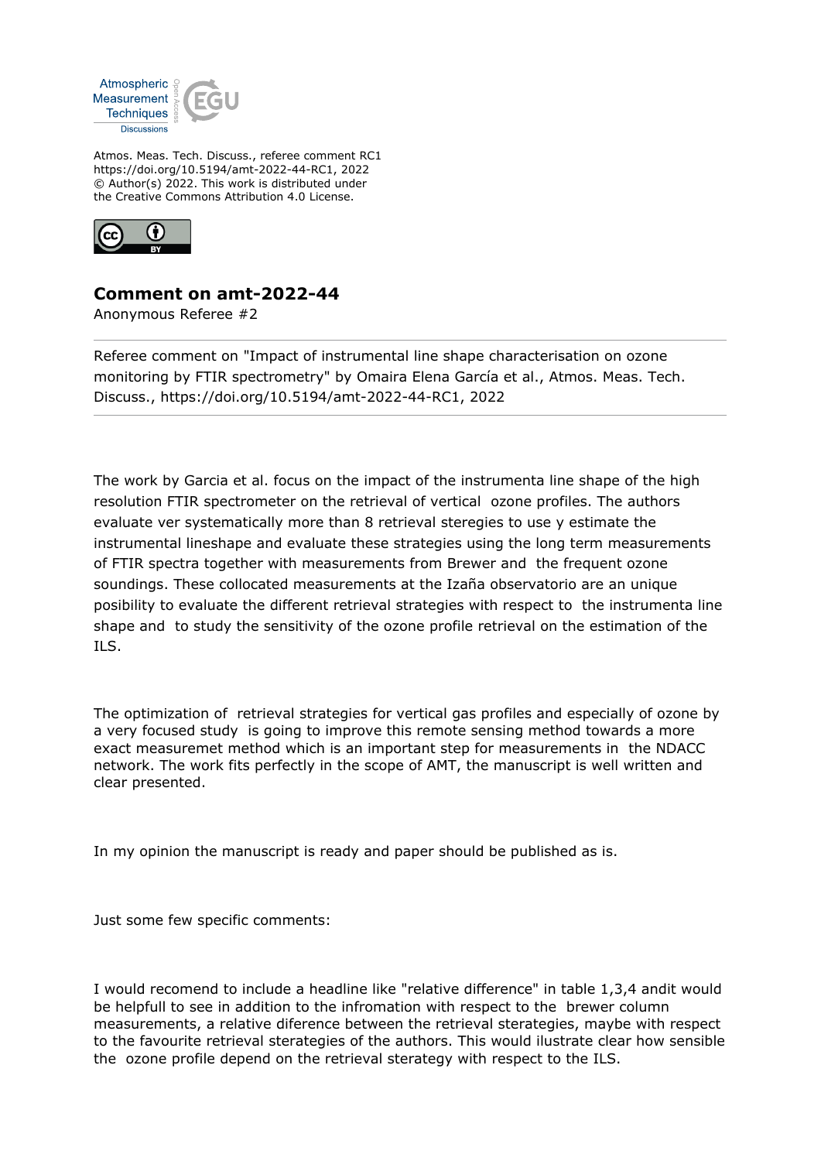

Atmos. Meas. Tech. Discuss., referee comment RC1 https://doi.org/10.5194/amt-2022-44-RC1, 2022 © Author(s) 2022. This work is distributed under the Creative Commons Attribution 4.0 License.



## **Comment on amt-2022-44**

Anonymous Referee #2

Referee comment on "Impact of instrumental line shape characterisation on ozone monitoring by FTIR spectrometry" by Omaira Elena García et al., Atmos. Meas. Tech. Discuss., https://doi.org/10.5194/amt-2022-44-RC1, 2022

The work by Garcia et al. focus on the impact of the instrumenta line shape of the high resolution FTIR spectrometer on the retrieval of vertical ozone profiles. The authors evaluate ver systematically more than 8 retrieval steregies to use y estimate the instrumental lineshape and evaluate these strategies using the long term measurements of FTIR spectra together with measurements from Brewer and the frequent ozone soundings. These collocated measurements at the Izaña observatorio are an unique posibility to evaluate the different retrieval strategies with respect to the instrumenta line shape and to study the sensitivity of the ozone profile retrieval on the estimation of the ILS.

The optimization of retrieval strategies for vertical gas profiles and especially of ozone by a very focused study is going to improve this remote sensing method towards a more exact measuremet method which is an important step for measurements in the NDACC network. The work fits perfectly in the scope of AMT, the manuscript is well written and clear presented.

In my opinion the manuscript is ready and paper should be published as is.

Just some few specific comments:

I would recomend to include a headline like "relative difference" in table 1,3,4 andit would be helpfull to see in addition to the infromation with respect to the brewer column measurements, a relative diference between the retrieval sterategies, maybe with respect to the favourite retrieval sterategies of the authors. This would ilustrate clear how sensible the ozone profile depend on the retrieval sterategy with respect to the ILS.